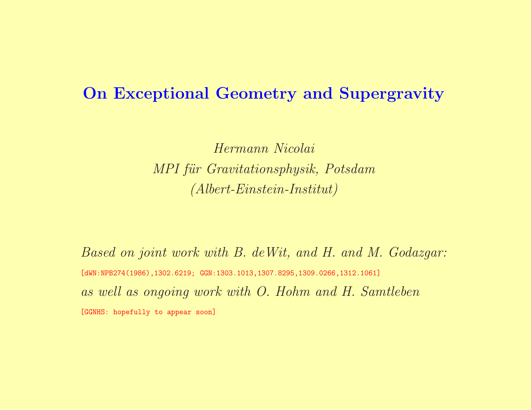## On Exceptional Geometry and Supergravity

*Hermann Nicolai MPI f¨ur Gravitationsphysik, Potsdam(Albert-Einstein-Institut)*

*Based on joint work with B. deWit, and H. and M. Godazgar:* [dWN:NPB274(1986),1302.6219; GGN:1303.1013,1307.8295,1309.0266,1312.1061] *as well as ongoing work with O. Hohm and H. Samtleben*[GGNHS: hopefully to appear soon]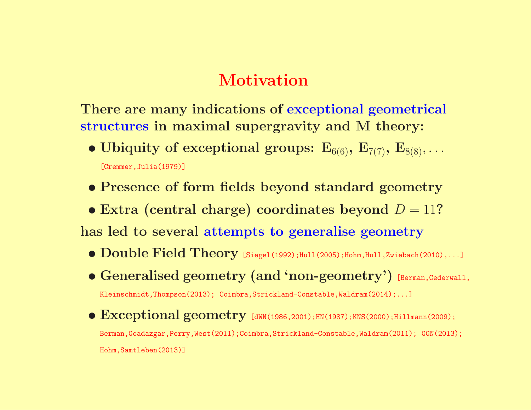## Motivation

There are many indications of exceptional geometrical structures in maximal supergravity and <sup>M</sup> theory:

- $\bullet$  Ubiquity of exceptional groups:  $\mathrm{E_{6(6)} ,\,E_{7(7)} ,\,E_{8(8)} , \ldots}$ [Cremmer,Julia(1979)]
- Presence of form fields beyond standard geometry
- Extra (central charge) coordinates beyond  $D = 11$ ?

has led to several attempts to generalise geometry

- $\bullet$   ${\bf Double \ Field \ Theory}$  [Siegel(1992);Hull(2005);Hohm,Hull,Zwiebach(2010),...]
- $\bullet$  Generalised geometry (and 'non-geometry') [Berman, Cederwall, Kleinschmidt,Thompson(2013); Coimbra,Strickland-Constable,Waldram(2014);...]
- $\bullet\textbf{ Exceptional geometry}$  [dWN(1986,2001);HN(1987);KNS(2000);Hillmann(2009); Berman,Goadazgar,Perry,West(2011);Coimbra,Strickland-Constable,Waldram(2011); GGN(2013); Hohm,Samtleben(2013)]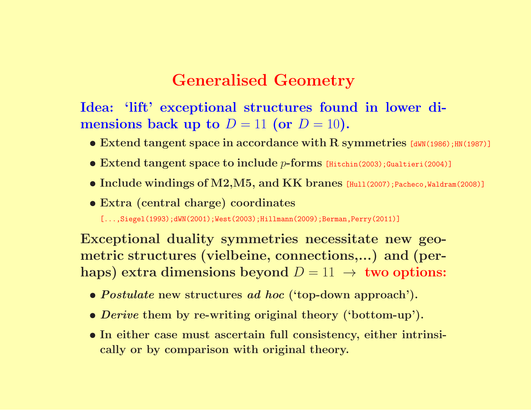### Generalised Geometry

Idea: 'lift' exceptional structures found in lower dimensions back up to  $D = 11$  (or  $D = 10$ ).

- $\bullet$  Extend tangent space in accordance with R symmetries [dWN(1986);HN(1987)]
- $\bullet\text{ Extend tangent space to include }p\text{-forms }\text{[Hitchin (2003);Gualtieri (2004)]}$
- $\bullet$  Include windings of  $\rm M2, M5,$  and  $\rm KK$  branes [Hull(2007);Pacheco,Waldram(2008)]
- Extra (central charge) coordinates [...,Siegel(1993);dWN(2001);West(2003);Hillmann(2009);Berman,Perry(2011)]

Exceptional duality symmetries necessitate new geometric structures (vielbeine, connections,...) and (perhaps) extra dimensions beyond  $D=11\,\rightarrow\,$  two options:

- $\bullet \ Postulate \ {\rm new \ structures} \ \textit{ad} \ \textit{hoc} \ (\text{`top-down \ approach'}).$
- *Derive* them by re-writing original theory ('bottom-up').
- In either case must ascertain full consistency, either intrinsically or by comparison with original theory.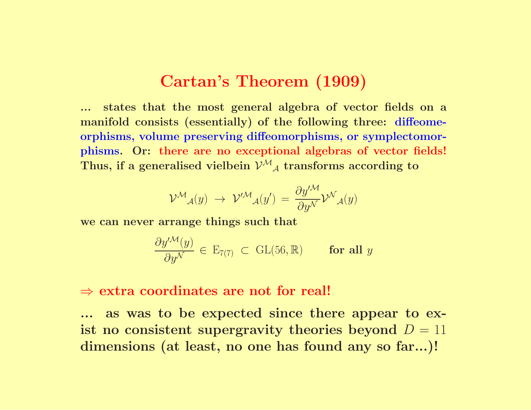#### Cartan's Theorem (1909)

states that the most general algebra of vector fields on a manifold consists (essentially) of the following three: diffeomeorphisms, volume preserving diffeomorphisms, or symplectomor<sup>p</sup>hisms. Or: there are no exceptional algebras of vector fields! Thus, if a generalised vielbein  $\mathcal{V}^{\mathcal{M}}$  $_{\mathcal{A}}$  transforms according to

$$
\mathcal{V}^{\mathcal{M}}{}_{\mathcal{A}}(y) \ \to \ \mathcal{V}^{\mathcal{M}}{}_{\mathcal{A}}(y^{\prime}) \ = \ \frac{\partial y^{\prime \mathcal{M}}}{\partial y^{\mathcal{N}}} \mathcal{V}^{\mathcal{N}}{}_{\mathcal{A}}(y)
$$

we can never arrange things such that

$$
\frac{\partial y'^{\mathcal{M}}(y)}{\partial y^{\mathcal{N}}} \in \mathcal{E}_{7(7)} \subset \text{GL}(56, \mathbb{R}) \qquad \text{for all } y
$$

 $\Rightarrow$  extra coordinates are not for real!

as was to be expected since there appear to exist no consistent supergravity theories beyond  $D = 11$ dimensions (at least, no one has found any so far...)!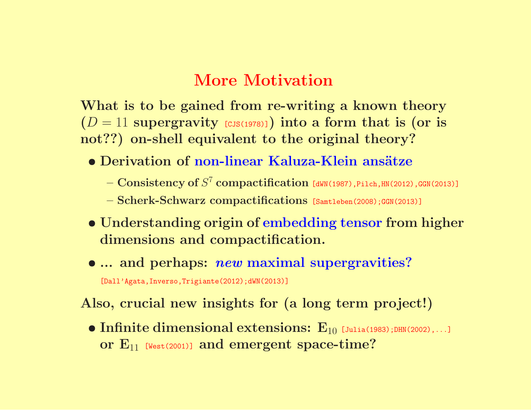### More Motivation

What is to be gained from re-writing a known theory  $(D = 11$  supergravity  $[CS(1978)]$  into a form that is (or is not??) on-shell equivalent to the original theory?

- Derivation of non-linear Kaluza-Klein ansätze
	- **Consistency of**  $S^7$  **compactification** [dWN(1987), Pilch, HN(2012), GGN(2013)]
	- $-$  Scherk-Schwarz compactifications [Samtleben(2008);GGN(2013)]
- Understanding origin of embedding tensor from higher dimensions and compactification.
- $\bullet$  ... and perhaps:  $\mathit{new}$  maximal supergravities? [Dall'Agata, Inverso, Trigiante(2012);dWN(2013)]

Also, crucial new insights for (a long term project!)

 $\bullet$  Infinite dimensional extensions:  $\text{E}_{10}$  [Julia(1983);DHN(2002),...] or  $E_{11}$  [West(2001)] and emergent space-time?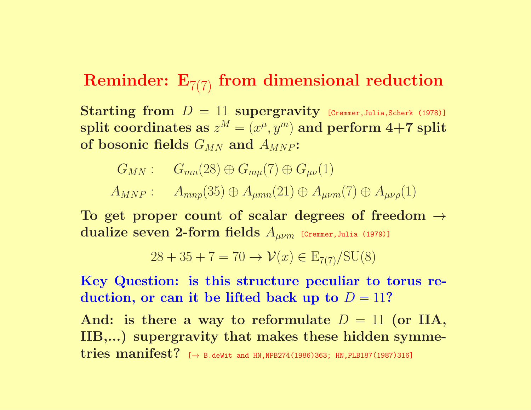## Reminder:  $E_{7(7)}$  from dimensional reduction

 ${\bf Starting\ from\ \ }D\,=\,11\ \ {\bf supergravity\ \ }$  [Cremmer, Julia, Scherk (1978)]<br>Split coordinates as  $z^M = (x^\mu \ \ y^m)$  and perform  $A$  |  $7$  split split coordinates as  $z^M = (x^{\mu}, y^{\mu})$  and perform 4+7 split of bosonic fields  $G_{MN}$  and  $A_{MNP}$ :

 $G_{MN}: \quad G_{mn}(28)\oplus G_{m\mu}(7)\oplus G_{\mu\nu}(1)$ 

 $A_{MNP}$  :  $A_{mnp}(35) \oplus A_{\mu mn}(21) \oplus A_{\mu\nu m}(7) \oplus A_{\mu\nu\rho}(1)$ 

To get proper count of scalar degrees of freedom  $\rightarrow$  dualize seven 2 form fields  $A$  $\bf{dualize\,\, seven\,\, 2-form\,\, fields\,\, }A_{\mu\nu m}$  [Cremmer,Julia (1979)]

$$
28 + 35 + 7 = 70 \rightarrow \mathcal{V}(x) \in E_{7(7)}/SU(8)
$$

Key Question: is this structure peculiar to torus reduction, or can it be lifted back up to  $D = 11$ ?

And: is there a way to reformulate  $D = 11$  (or IIA, IIB,...) supergravity that makes these hidden symme $tries$   $manifest?$   $\mapsto$  B.deWit and HN, NPB274(1986)363; HN, PLB187(1987)316]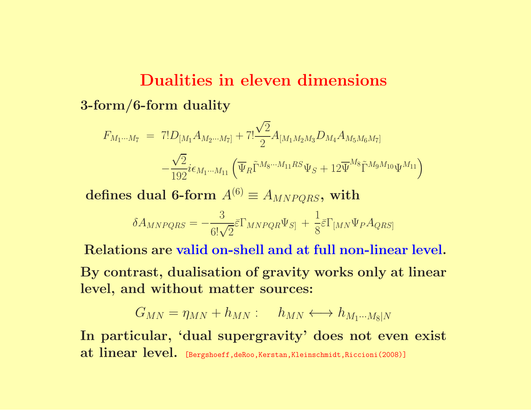## Dualities in eleven dimensions 3-form/6-form duality

$$
F_{M_1\cdots M_7} = 7! D_{[M_1} A_{M_2\cdots M_7]} + 7! \frac{\sqrt{2}}{2} A_{[M_1M_2M_3} D_{M_4} A_{M_5M_6M_7]}
$$

$$
- \frac{\sqrt{2}}{192} i\epsilon_{M_1\cdots M_{11}} \left( \overline{\Psi}_R \tilde{\Gamma}^{M_8\cdots M_{11}RS} \Psi_S + 12 \overline{\Psi}^{M_8} \tilde{\Gamma}^{M_9M_{10}} \Psi^{M_{11}} \right)
$$

defines dual 6-form  $A^{(6)} \equiv A_{MNPQRS}$ , with

$$
\delta A_{MNPQRS} = -\frac{3}{6!\sqrt{2}} \bar{\varepsilon} \Gamma_{MNPQR} \Psi_{S]} + \frac{1}{8} \bar{\varepsilon} \Gamma_{[MN} \Psi_{P} A_{QRS]}
$$

Relations are valid on-shell and at full non-linear level.

By contrast, dualisation of gravity works only at linear level, and without matter sources:

$$
G_{MN} = \eta_{MN} + h_{MN} : \quad h_{MN} \longleftrightarrow h_{M_1\cdots M_8|N}
$$

 In particular, 'dual supergravity' does not even exist at linear level. [Bergshoeff,deRoo,Kerstan,Kleinschmidt,Riccioni(2008)]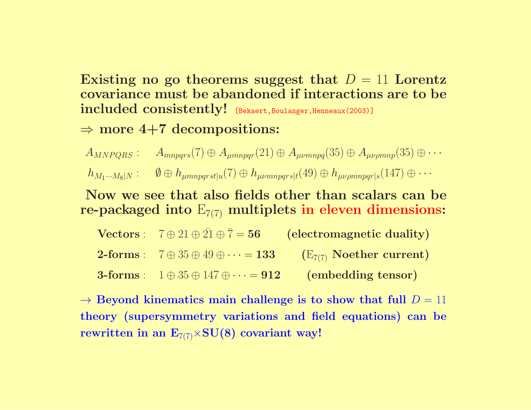Existing no go theorems suggest that  $D = 11$  Lorentz<br>covariance must be abandoned if interactions are to be covariance must be abandoned if interactions are to be included consistently! [Bekaert, Boulanger, Henneaux(2003)]

# $\Rightarrow$  more 4+7 decompositions:

 $A_{MNPQRS}: A_{mnpqrs}(7) \oplus A_{\mu mnpqr}(21) \oplus A_{\mu\nu mnpq}(35) \oplus A_{\mu\nu\rho mnp}(35) \oplus \cdots$  $h_{M_1\cdots M_8|N}: \quad \emptyset \oplus h_{\mu mnpqrst|u}(7) \oplus h_{\mu \nu mnpqrs|t}(49) \oplus h_{\mu \nu \rho mnpqrls}(147) \oplus \cdots$ 

Now we see that also fields other than scalars can be re-packaged into  $\mathrm{E}_{7(7)}$  multiplets in eleven dimensions:

 $\textbf{Vectors}: \quad 7 \oplus 21 \oplus \bar{21} \oplus \bar{7} = \textbf{56} \qquad \textbf{(electromagnetic duality)}$  $\textbf{2-forms}: \quad 7 \oplus 35 \oplus 49 \oplus \cdots = \textbf{133} \qquad \quad \textnormal{(E}_{7(7)} \text{ Noether current)}$  $\textbf{3-forms}: \quad 1 \oplus 35 \oplus 147 \oplus \cdots = \textbf{912} \qquad \quad \textbf{(embedding tensor)}$ 

 $\rightarrow$  Beyond kinematics main challenge is to show that full  $D = 11$ theory (supersymmetry variations and field equations) can <sup>b</sup> e ${\rm rewritten \ in \ an \ } {\rm E}_{7(7)}{\times} {\rm SU}(8) \ {\rm covariant \ way!}$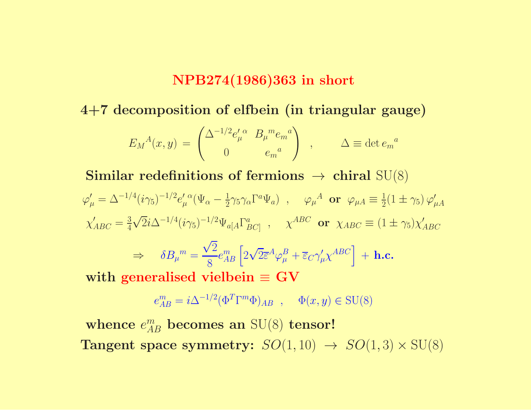#### NPB274(1986)363 in short

4+7 decomposition of elfbein (in triangular gauge)

$$
E_M{}^A(x,y) = \begin{pmatrix} \Delta^{-1/2} e'_{\mu}{}^{\alpha} & B_{\mu}{}^{m} e_m{}^a \\ 0 & e_m{}^a \end{pmatrix} , \qquad \Delta \equiv \det e_m{}^a
$$

 $\textbf{Similar redefinitions of fermions} \, \rightarrow \, \textbf{chiral SU(8)}$ 

 $\varphi'_\mu = \Delta^{-1/4} (i\gamma_5)^{-1/2} e'_\mu{}^\alpha (\Psi_\alpha - \frac{1}{2} \gamma_5 \gamma_\alpha \Gamma^a \Psi_a)$ ,  $\varphi_\mu$  $^A$  or  $\varphi_{\mu A}\equiv\frac{1}{2}(1\pm\gamma_5)\,\varphi'_{\mu A}$  $\chi'_{ABC} = \frac{3}{4} \sqrt{2} i \Delta^{-1/4} (i \gamma_5)^{-1/2} \Psi_{a[A} \Gamma^a_{BC]}$ ,  $\chi^{ABC}$  or  $\chi_{ABC} \equiv (1 \pm \gamma_5) \chi'_{ABC}$  $ightharpoonup$   $\delta B$  $\mu$  $\,m$  $m = \frac{\sqrt{2}}{2}$  8 $e^m_{\ \prime}$  $\stackrel{m}{AB} \Big[$  $2\sqrt{2}\overline{\varepsilon}^{A}$  $^{A}\varphi_{\mu}^{B}$  $\left[ \frac{B}{\mu}+\overline{\varepsilon}_{C}\gamma_{\mu}^{\prime}\chi^{ABC}\right] \, +\, {\rm h.c.}$ |<br>|<br>|

with generalised vielbein  $\equiv$  GV

$$
e_{AB}^m = i\Delta^{-1/2}(\Phi^T \Gamma^m \Phi)_{AB} , \quad \Phi(x, y) \in \text{SU(8)}
$$

whence  $e^m_{\ \scriptscriptstyle A}$ AB $\mathcal{B}_B$  becomes an  $\mathrm{SU}(8)$  tensor! **Tangent space symmetry:**  $SO(1,10) \rightarrow SO(1,3) \times SU(8)$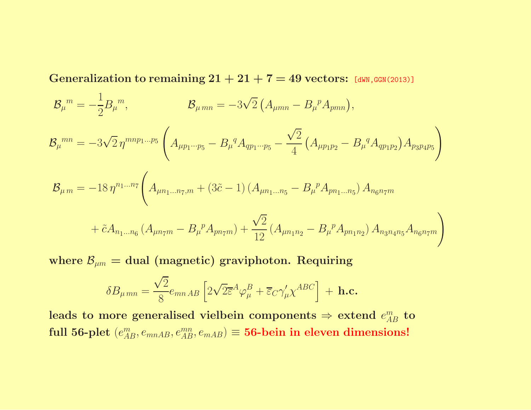Generalization to remaining  $21 + 21 + 7 = 49$  vectors: [dWN, GGN(2013)]

$$
\mathcal{B}_{\mu}^{m} = -\frac{1}{2} B_{\mu}^{m}, \qquad \mathcal{B}_{\mu m n} = -3\sqrt{2} \left( A_{\mu m n} - B_{\mu}^{p} A_{\rho m n} \right),
$$
  
\n
$$
\mathcal{B}_{\mu}^{mn} = -3\sqrt{2} \eta^{m n p_1 ... p_5} \left( A_{\mu p_1 ... p_5} - B_{\mu}^{q} A_{q p_1 ... p_5} - \frac{\sqrt{2}}{4} \left( A_{\mu p_1 p_2} - B_{\mu}^{q} A_{q p_1 p_2} \right) A_{p_3 p_4 p_5} \right)
$$
  
\n
$$
\mathcal{B}_{\mu m} = -18 \eta^{n_1 ... n_7} \left( A_{\mu n_1 ... n_7, m} + (3\tilde{c} - 1) \left( A_{\mu n_1 ... n_5} - B_{\mu}^{p} A_{p n_1 ... n_5} \right) A_{n_6 n_7 m} \right)
$$

$$
+\tilde{c}A_{n_1...n_6}\left(A_{\mu n_7 m}-B_{\mu}{}^pA_{p n_7 m}\right)+\frac{\sqrt{2}}{12}\left(A_{\mu n_1 n_2}-B_{\mu}{}^pA_{p n_1 n_2}\right)A_{n_3 n_4 n_5}A_{n_6 n_7 m}\Bigg)
$$

where  $\mathcal{B}_{\mu m} = \mathrm{dual}$  (magnetic) graviphoton. Requiring

$$
\delta B_{\mu\,mn} = \frac{\sqrt{2}}{8} e_{mn\,AB} \left[ 2\sqrt{2} \overline{\epsilon}^A \varphi^B_\mu + \overline{\epsilon}_C \gamma'_\mu \chi^{ABC} \right] + \mathbf{h.c.}
$$

leads to more generalised vielbein components  $\Rightarrow$  extend  $e^m_A$  $\frac{m}{AB}$  to full 56-plet  $(e^m_A\,$  $\mathcal{L}_{AB}^m, e_{mnAB}, e_{AB}^{mn}, e_{mAB}) \equiv \mathbf{56}\text{-}\mathbf{bein}\ \mathbf{in}\ \mathbf{eheven}\ \mathbf{dimensions!}.$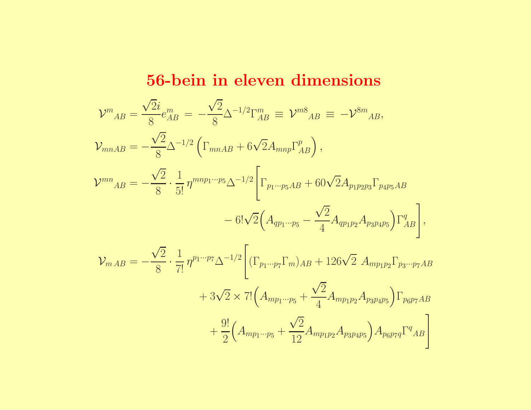## 56-bein in eleven dimensions

$$
\mathcal{V}^{m}_{AB} = \frac{\sqrt{2}i}{8} e^{m}_{AB} = -\frac{\sqrt{2}}{8} \Delta^{-1/2} \Gamma^{m}_{AB} \equiv \mathcal{V}^{m8}_{AB} \equiv -\mathcal{V}^{8m}_{AB},
$$
  
\n
$$
\mathcal{V}_{mnAB} = -\frac{\sqrt{2}}{8} \Delta^{-1/2} \left( \Gamma_{mnAB} + 6\sqrt{2} A_{mnp} \Gamma^{p}_{AB} \right),
$$
  
\n
$$
\mathcal{V}^{mn}_{AB} = -\frac{\sqrt{2}}{8} \cdot \frac{1}{5!} \eta^{mnp_1 \cdots p_5} \Delta^{-1/2} \left[ \Gamma_{p_1 \cdots p_5AB} + 60\sqrt{2} A_{p_1 p_2 p_3} \Gamma_{p_4 p_5AB} \right.
$$
  
\n
$$
-6! \sqrt{2} \left( A_{qp_1 \cdots p_5} - \frac{\sqrt{2}}{4} A_{qp_1 p_2} A_{p_3 p_4 p_5} \right) \Gamma^{q}_{AB} \right],
$$
  
\n
$$
\mathcal{V}_{mAB} = -\frac{\sqrt{2}}{8} \cdot \frac{1}{7!} \eta^{p_1 \cdots p_7} \Delta^{-1/2} \left[ (\Gamma_{p_1 \cdots p_7} \Gamma_{m})_{AB} + 126\sqrt{2} A_{mp_1 p_2} \Gamma_{p_3 \cdots p_7 AB} + 3\sqrt{2} \times 7! \left( A_{mp_1 \cdots p_5} + \frac{\sqrt{2}}{4} A_{mp_1 p_2} A_{p_3 p_4 p_5} \right) \Gamma_{p_6 p_7 AB} + \frac{9!}{2} \left( A_{mp_1 \cdots p_5} + \frac{\sqrt{2}}{12} A_{mp_1 p_2} A_{p_3 p_4 p_5} \right) A_{p_6 p_7 q} \Gamma^{q}_{AB} \right]
$$

┚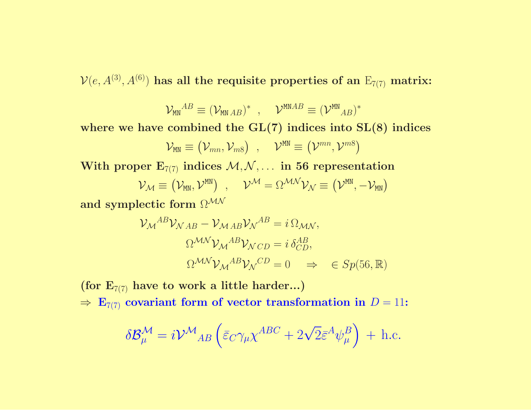$V(e, A^{(3)}, A^{(6)})$  has all the requisite properties of an  $E_{7(7)}$  matrix:

$$
\mathcal{V}_{MN}{}^{AB} \equiv (\mathcal{V}_{MN\ AB})^* \ , \quad \mathcal{V}^{MNAB} \equiv (\mathcal{V}^{MN}{}_{AB})^*
$$

where we have combined the  $GL(7)$  indices into  $SL(8)$  indices

$$
\mathcal{V}_{MN} \equiv (\mathcal{V}_{mn}, \mathcal{V}_{m8}) \ , \quad \mathcal{V}^{MN} \equiv (\mathcal{V}^{mn}, \mathcal{V}^{m8})
$$

With proper  $\mathrm{E}_{7(7)}$  indices  $\mathcal{M}, \mathcal{N}, \dots$  in  ${\bf 56}$  representation

$$
\mathcal{V}_{\mathcal{M}} \equiv \begin{pmatrix} \mathcal{V}_{\text{MN}}, \mathcal{V}^{\text{MN}} \end{pmatrix} \,, \quad \mathcal{V}^{\mathcal{M}} = \Omega^{\mathcal{M} \mathcal{N}} \mathcal{V}_{\mathcal{N}} \equiv \begin{pmatrix} \mathcal{V}^{\text{MN}}, -\mathcal{V}_{\text{MN}} \end{pmatrix}
$$

and symplectic form  $\Omega^{\mathcal{M} \mathcal{N}}$ 

$$
\mathcal{V}_{\mathcal{M}}{}^{AB}\mathcal{V}_{\mathcal{N}\,AB} - \mathcal{V}_{\mathcal{M}\,AB}\mathcal{V}_{\mathcal{N}}{}^{AB} = i \Omega_{\mathcal{M}\mathcal{N}},
$$
  
\n
$$
\Omega^{\mathcal{M}\mathcal{N}}\mathcal{V}_{\mathcal{M}}{}^{AB}\mathcal{V}_{\mathcal{N}\,CD} = i \,\delta_{CD}^{AB},
$$
  
\n
$$
\Omega^{\mathcal{M}\mathcal{N}}\mathcal{V}_{\mathcal{M}}{}^{AB}\mathcal{V}_{\mathcal{N}}{}^{CD} = 0 \Rightarrow \in Sp(56, \mathbb{R})
$$

(for  $\mathbf{E}_{7(7)}$  have to work a little harder...)

 $\Rightarrow$   $\textbf{E}_{7(7)}$  covariant form of vector transformation in  $D=11$ :

$$
\delta \mathcal{B}^{\mathcal{M}}_{\mu} = i \mathcal{V}^{\mathcal{M}}{}_{AB} \left( \bar{\varepsilon}_{C} \gamma_{\mu} \chi^{ABC} + 2 \sqrt{2} \bar{\varepsilon}^{A} \psi^{B}_{\mu} \right) + \text{h.c.}
$$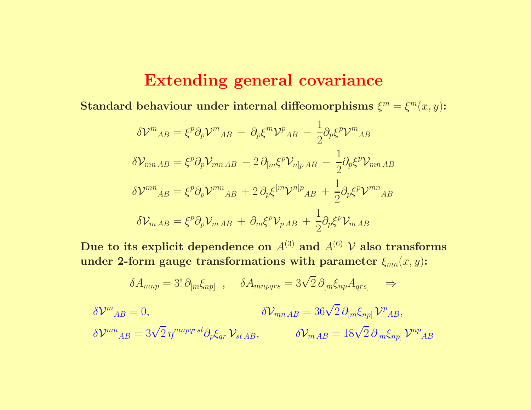#### Extending genera<sup>l</sup> covariance

Standard behaviour under internal diffeomorphisms  $\xi^m$  $^m=\xi^m(x,y)$ :

$$
\delta \mathcal{V}^{m}{}_{AB} = \xi^{p} \partial_{p} \mathcal{V}^{m}{}_{AB} - \partial_{p} \xi^{m} \mathcal{V}^{p}{}_{AB} - \frac{1}{2} \partial_{p} \xi^{p} \mathcal{V}^{m}{}_{AB}
$$
  
\n
$$
\delta \mathcal{V}{}_{mn}{}_{AB} = \xi^{p} \partial_{p} \mathcal{V}{}_{mn}{}_{AB} - 2 \partial_{[m} \xi^{p} \mathcal{V}{}_{n]p}{}_{AB} - \frac{1}{2} \partial_{p} \xi^{p} \mathcal{V}{}_{mn}{}_{AB}
$$
  
\n
$$
\delta \mathcal{V}{}^{mn}{}_{AB} = \xi^{p} \partial_{p} \mathcal{V}{}^{mn}{}_{AB} + 2 \partial_{p} \xi^{[m} \mathcal{V}{}^{n]p}{}_{AB} + \frac{1}{2} \partial_{p} \xi^{p} \mathcal{V}{}^{mn}{}_{AB}
$$
  
\n
$$
\delta \mathcal{V}{}_{m}{}_{AB} = \xi^{p} \partial_{p} \mathcal{V}{}_{m}{}_{AB} + \partial_{m} \xi^{p} \mathcal{V}{}_{p}{}_{AB} + \frac{1}{2} \partial_{p} \xi^{p} \mathcal{V}{}_{m}{}_{AB}
$$

Due to its explicit dependence on  $A^{(3)}$  and  $A^{(6)}$   ${\cal V}$  also transforms under 2-form gauge transformations with parameter  $\xi_{mn}(x,y)$ :

$$
\delta A_{mnp} = 3! \, \partial_{[m} \xi_{np]} \quad , \quad \delta A_{mnpqrs} = 3\sqrt{2} \, \partial_{[m} \xi_{np} A_{qrs]} \quad \Rightarrow
$$

$$
\delta \mathcal{V}^m{}_{AB} = 0, \qquad \delta \mathcal{V}_{mn}{}_{AB} = 36\sqrt{2} \,\partial_{[m}\xi_{np]} \mathcal{V}^p{}_{AB},
$$

$$
\delta \mathcal{V}^{mn}{}_{AB} = 3\sqrt{2} \,\eta^{mnpqrst} \partial_p \xi_{qr} \mathcal{V}_{st\,AB}, \qquad \delta \mathcal{V}_{m\,AB} = 18\sqrt{2} \,\partial_{[m}\xi_{np]} \mathcal{V}^{np}{}_{AB}
$$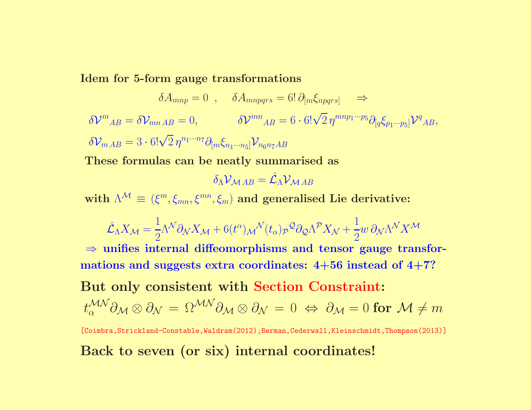Idem for 5-form gauge transformations

$$
\delta A_{mnp} = 0 \ , \quad \delta A_{mnpqrs} = 6! \partial_{[m} \xi_{npqrs]} \Rightarrow
$$
  

$$
\delta \mathcal{V}^m_{AB} = \delta \mathcal{V}_{mnAB} = 0, \qquad \delta \mathcal{V}^{mn}_{AB} = 6 \cdot 6! \sqrt{2} \eta^{mnp_1 \cdots p_5} \partial_{[q} \xi_{p_1 \cdots p_5]} \mathcal{V}^q_{AB},
$$
  

$$
\delta \mathcal{V}_{mAB} = 3 \cdot 6! \sqrt{2} \eta^{n_1 \cdots n_7} \partial_{[m} \xi_{n_1 \cdots n_5]} \mathcal{V}_{n_6 n_7 AB}
$$

These formulas can be neatly summarised as

$$
\delta_{\Lambda} \mathcal{V}_{\mathcal{M} AB} = \hat{\mathcal{L}}_{\Lambda} \mathcal{V}_{\mathcal{M} AB}
$$

with  $\Lambda^{\cal M}\,\equiv\, (\xi^m,\xi_{mn},\xi^{mn},\xi_m)$  and generalised Lie derivative:

$$
\hat{\mathcal{L}}_{\Lambda} X_{\mathcal{M}} = \frac{1}{2} \Lambda^{\mathcal{N}} \partial_{\mathcal{N}} X_{\mathcal{M}} + 6(t^{\alpha})_{\mathcal{M}}{}^{\mathcal{N}} (t_{\alpha})_{\mathcal{P}}{}^{\mathcal{Q}} \partial_{\mathcal{Q}} \Lambda^{\mathcal{P}} X_{\mathcal{N}} + \frac{1}{2} w \, \partial_{\mathcal{N}} \Lambda^{\mathcal{N}} X^{\mathcal{M}}
$$

 $\mathcal{L}_\Lambda X_{\mathcal{M}} = \frac{1}{2} \Lambda^N \partial_N X_{\mathcal{M}} + 6(t^\alpha)_{\mathcal{M}}{}^N (t_\alpha)_\mathcal{P}{}^\mathcal{Q} \partial_\mathcal{Q} \Lambda^\mathcal{P} X_{\mathcal{N}} + \frac{1}{2} w \, \partial_N \Lambda^N X^{\mathcal{M}}$ <br>  $\Rightarrow$  unifies internal diffeomorphisms and tensor gauge transformations and suggests extra coordinates:  $4+56$  instead of  $4+7$ ?

But only consistent with Section Constraint:

$$
t_{\alpha}^{\mathcal{M}\mathcal{N}}\partial_{\mathcal{M}}\otimes\partial_{\mathcal{N}} = \Omega^{\mathcal{M}\mathcal{N}}\partial_{\mathcal{M}}\otimes\partial_{\mathcal{N}} = 0 \Leftrightarrow \partial_{\mathcal{M}} = 0 \text{ for } \mathcal{M} \neq m
$$

 [Coimbra,Strickland-Constable,Waldram(2012);Berman,Cederwall,Kleinschmidt,Thompson(2013)]Back to seven (or six) internal coordinates!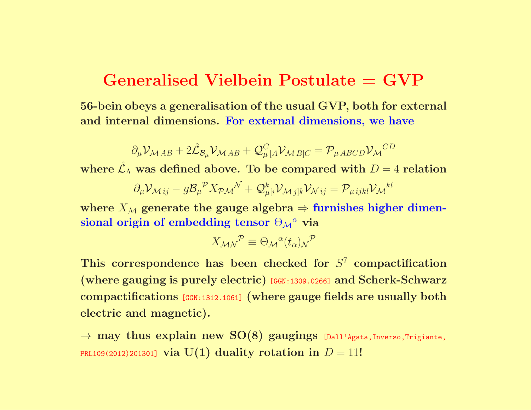#### Generalised Vielbein Postulate <sup>=</sup> GVP

56-bein obeys <sup>a</sup> generalisation of the usual GVP, both for external and internal dimensions. For external dimensions, we have

$$
\partial_{\mu} \mathcal{V}_{\mathcal{M} AB} + 2 \hat{\mathcal{L}}_{\mathcal{B}_{\mu}} \mathcal{V}_{\mathcal{M} AB} + \mathcal{Q}_{\mu}^{C} [\mathcal{A} \mathcal{V}_{\mathcal{M} B}]_{C} = \mathcal{P}_{\mu \, ABCD} \mathcal{V}_{\mathcal{M}}^{CD}
$$

where  $\hat{\mathcal{L}}_\Lambda$  was defined above. To be compared with  $D=4$  relation

$$
\partial_{\mu} \mathcal{V}_{\mathcal{M}ij} - g \mathcal{B}_{\mu}^{\ \mathcal{P}} X_{\mathcal{P}\mathcal{M}}^{\ \mathcal{N}} + \mathcal{Q}_{\mu[i}^{k} \mathcal{V}_{\mathcal{M}j]k} \mathcal{V}_{\mathcal{N}ij} = \mathcal{P}_{\mu ijkl} \mathcal{V}_{\mathcal{M}}^{kl}
$$

where  $X_M$  generate the gauge algebra  $\Rightarrow$  furnishes higher dimensional origin of embodding tonsor  $\bigoplus_{\alpha} \alpha$  via sional origin of embedding tensor  $\Theta_{\mathcal{M}}{}^\alpha$  via

$$
X_{\mathcal{M}\mathcal{N}}{}^{\mathcal{P}} \equiv \Theta_{\mathcal{M}}{}^{\alpha}(t_{\alpha})_{\mathcal{N}}{}^{\mathcal{P}}
$$

This correspondence has been checked for  $S^7$  compactification  $(\hbox{where gauging is purely electric})$  [GGN:1309.0266] and  $\hbox{Scherk-Schwarz}$  $\bf{compactifications}$  [GGN:1312.1061]  $\bf(where\ gauge\ fields\ are\ usually\ both$ electric and magnetic).

 $\rightarrow$  may thus explain new  $SO(8)$  gaugings [Dall'Agata,Inverso,Trigiante, PRL109(2012)201301] via  $\mathbf{U(1)}$  duality rotation in  $D=11!$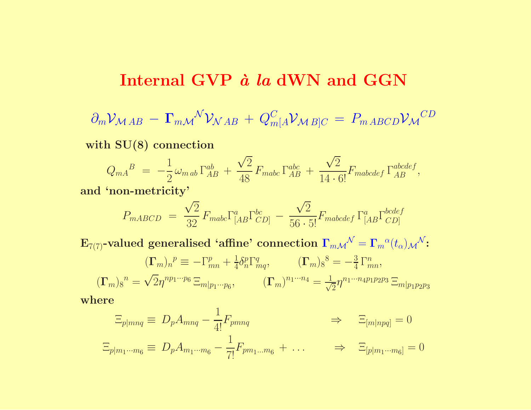# Internal  $\operatorname{GVP}$   $\grave{a}$   $\operatorname{\it la}\nolimits$  dWN and  $\operatorname{GGN}$

 $\partial_m {\cal V}_{\cal M \, AB}$  $\mathcal{L}_B - \mathbf{\Gamma}_{m\mathcal{M}}{}^{\mathcal{N}} \mathcal{V}_{\mathcal{N}\, AB} + Q^C_{m[A} \mathcal{V}_{\mathcal{M}\, B]C} = P_{m\, ABCD} \mathcal{V}_{\mathcal{M}}{}^{CD}$ 

with  $SU(8)$  connection

$$
Q_{mA}{}^B = -\frac{1}{2}\omega_{m\,ab}\,\Gamma_{AB}^{ab} + \frac{\sqrt{2}}{48}\,F_{mabc}\,\Gamma_{AB}^{abc} + \frac{\sqrt{2}}{14\cdot 6!}F_{mabcdef}\,\Gamma_{AB}^{abcdef},
$$

and 'non-metricity'

$$
P_{mABCD} = \frac{\sqrt{2}}{32} F_{mabc} \Gamma^a_{[AB} \Gamma^b_{CD]} - \frac{\sqrt{2}}{56 \cdot 5!} F_{mabcdef} \Gamma^a_{[AB} \Gamma^b_{CD]}
$$

 ${\bf E}_{7(7)}$ -valued generalised 'affine' connection  ${\bf \Gamma}_{m\cal M}{}^{\cal N} = {\bf \Gamma}_m{}^\alpha (t_\alpha)_{\cal M}{}^{\cal N}$ :

$$
(\Gamma_m)_n{}^p \equiv -\Gamma_{mn}^p + \frac{1}{4} \delta_n^p \Gamma_{mq}^q, \qquad (\Gamma_m)_8{}^8 = -\frac{3}{4} \Gamma_{mn}^n,
$$
  

$$
(\Gamma_m)_8{}^n = \sqrt{2} \eta^{np_1 \cdots p_6} \Xi_{m|p_1 \cdots p_6}, \qquad (\Gamma_m)^{n_1 \cdots n_4} = \frac{1}{\sqrt{2}} \eta^{n_1 \cdots n_4 p_1 p_2 p_3} \Xi_{m|p_1 p_2 p_3}
$$

where

$$
\begin{aligned}\n\Xi_{p|mnq} &\equiv D_p A_{mnq} - \frac{1}{4!} F_{pmnq} &\Longrightarrow \Xi_{[m|npq]} = 0 \\
\Xi_{p|m_1\cdots m_6} &\equiv D_p A_{m_1\cdots m_6} - \frac{1}{7!} F_{pm_1\cdots m_6} + \dots &\Longrightarrow \Xi_{[p|m_1\cdots m_6]} = 0\n\end{aligned}
$$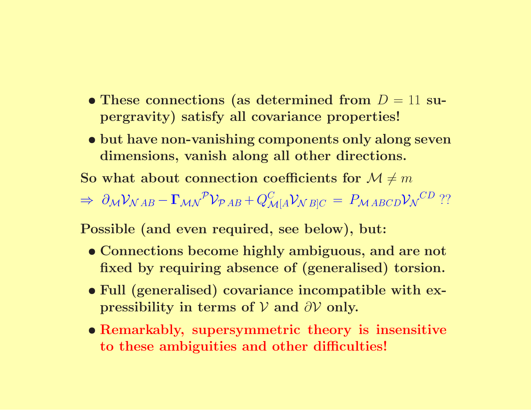- These connections (as determined from  $D = 11$  su-<br>percentively satisfy all covariance proportions. pergravity) satisfy all covariance properties!
- but have non-vanishing components only along seven dimensions, vanish along all other directions.

So what about connection coefficients for  $\mathcal{M} \neq m$ 

 $\Rightarrow \partial_{\mathcal{M}}\mathcal{V}_{\mathcal{N}\,AB} - \Gamma_{\mathcal{M}\mathcal{N}}{}^{\mathcal{P}}\mathcal{V}_{\mathcal{P}\,AB} + Q_{\mathcal{M}[A}^C\mathcal{V}_{\mathcal{N}\,B]C} = P_{\mathcal{M}\,ABCD}\mathcal{V}_{\mathcal{N}}{}^{CD}$  ??

Possible (and even required, see below), but:

- Connections become highly ambiguous, and are not fixed by requiring absence of (generalised) torsion.
- Full (generalised) covariance incompatible with expressibility in terms of  $\mathcal V$  and  $\partial \mathcal V$  only.
- Remarkably, supersymmetric theory is insensitive to these ambiguities and other difficulties!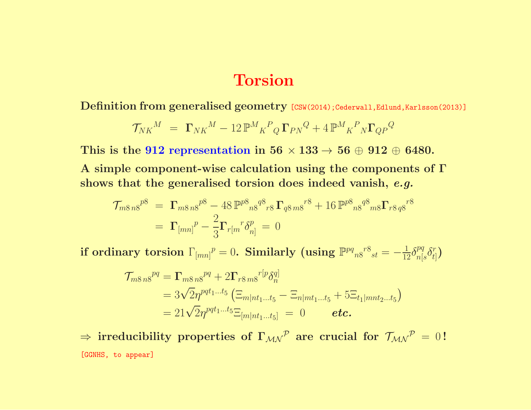#### **Torsion**

Definition from generalised geometry [CSW(2014); Cederwall, Edlund, Karlsson(2013)]

$$
\mathcal{T}_{NK}{}^M = \mathbf{\Gamma}_{NK}{}^M - 12 \mathbb{P}^M{}_K{}^P{}_Q \mathbf{\Gamma}_{PN}{}^Q + 4 \mathbb{P}^M{}_K{}^P{}_N \mathbf{\Gamma}_{QP}{}^Q
$$

This is the 912 representation in  $56 \times 133 \rightarrow 56 \oplus 912 \oplus 6480.$ 

<sup>A</sup> simple component-wise calculation using the components of <sup>Γ</sup> shows that the generalised torsion does indeed vanish, e.g.

$$
\mathcal{T}_{m8n8}^{p8} = \Gamma_{m8n8}^{p8} - 48 \mathbb{P}^{p8}_{n8}^{q8} \Gamma_{q8m8}^{r8} + 16 \mathbb{P}^{p8}_{n8}^{q8}_{n8} \Gamma_{r8q8}^{r8} \n= \Gamma_{[mn]}^{p} - \frac{2}{3} \Gamma_{r[m}^{r} \delta_{n]}^{p} = 0
$$

if ordinary torsion  $\Gamma_{[mn]}{}^p=0$ . Similarly  $({\rm using}\,\, {\mathbb P}^{pq}{}_{n8}{}^{r8}{}_{st}=-\frac{1}{12}\delta^{pq}_{n[s}\delta^r_{t]})$ 

$$
\mathcal{T}_{m8\,ns}^{pq} = \mathbf{\Gamma}_{m8\,ns}^{pq} + 2\mathbf{\Gamma}_{r8\,ms}^{r[p} \delta_n^q
$$
\n
$$
= 3\sqrt{2}\eta^{pqt_1...t_5} \left( \Xi_{m|nt_1...t_5} - \Xi_{n|mt_1...t_5} + 5\Xi_{t_1|mnt_2...t_5} \right)
$$
\n
$$
= 21\sqrt{2}\eta^{pqt_1...t_5} \Xi_{[m|nt_1...t_5]} = 0 \qquad \text{etc.}
$$

 $\Rightarrow$  irreducibility properties of  $\Gamma_{\mathcal{M} \mathcal{N}}{}^{\mathcal{P}}$  are crucial for  $\mathcal{T}_{\mathcal{M} \mathcal{N}}{}^{\mathcal{P}}\,=\,0$  ! [GGNHS, to appear]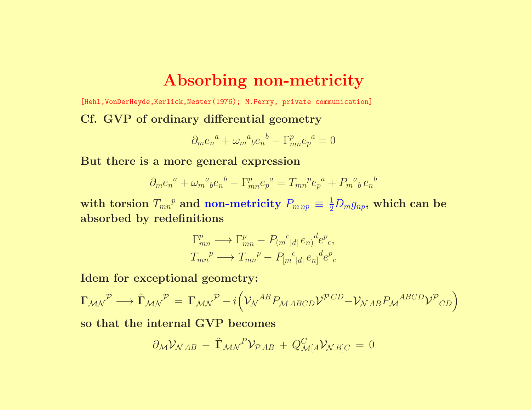#### Absorbing non-metricity

[Hehl, VonDerHeyde, Kerlick, Nester(1976); M. Perry, private communication]

#### Cf. GVP of ordinary differential geometry

$$
\partial_m e_n^a + \omega_m^a{}_b e_n^b - \Gamma_{mn}^p e_p^a = 0
$$

But there is <sup>a</sup> more genera<sup>l</sup> expression

$$
\partial_m e_n^a + \omega_m{}^a{}_b e_n{}^b - \Gamma_{mn}^p e_p{}^a = T_{mn}{}^p e_p{}^a + P_m{}^a{}_b e_n{}^b
$$

with torsion  $T_{mn}{}^p$  and non-metricity  $P_{m\,np}\,\equiv\,\frac{1}{2}D_m$  absorbed by redefinitions  $g_{np}$ , which can be

$$
\Gamma_{mn}^p \longrightarrow \Gamma_{mn}^p - P_{(m}{}^c|_{d|} e_n)^d e^p{}_c,
$$
  

$$
T_{mn}{}^p \longrightarrow T_{mn}{}^p - P_{[m}{}^c|_{d|} e_n]^d e^p{}_c.
$$

Idem for exceptional geometry:

$$
\Gamma_{\mathcal{M}\mathcal{N}}{}^{\mathcal{P}} \longrightarrow \tilde{\Gamma}_{\mathcal{M}\mathcal{N}}{}^{\mathcal{P}} = \Gamma_{\mathcal{M}\mathcal{N}}{}^{\mathcal{P}} - i \left( \mathcal{V}_{\mathcal{N}}{}^{AB} P_{\mathcal{M} \, ABCD} \mathcal{V}^{\mathcal{P} \, CD} - \mathcal{V}_{\mathcal{N} \, AB} P_{\mathcal{M}}{}^{ABCD} \mathcal{V}^{\mathcal{P}}{}_{CD} \right)
$$

so that the internal GVP becomes

$$
\partial_{\mathcal{M}} \mathcal{V}_{\mathcal{N} AB} - \tilde{\Gamma}_{\mathcal{M} \mathcal{N}}{}^P \mathcal{V}_{\mathcal{P} AB} + Q^C_{\mathcal{M}[A} \mathcal{V}_{\mathcal{N} B]C} = 0
$$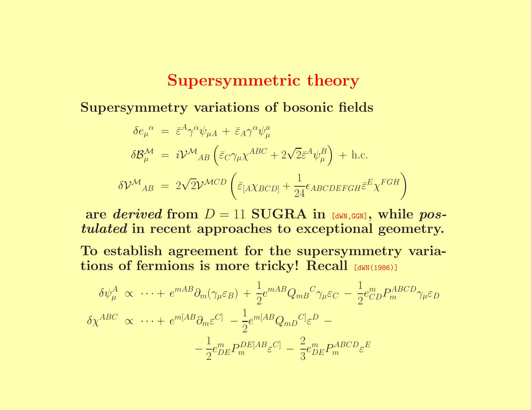#### Supersymmetric theory

Supersymmetry variations of bosonic fields

$$
\delta e_{\mu}^{\alpha} = \bar{\varepsilon}^{A} \gamma^{\alpha} \psi_{\mu A} + \bar{\varepsilon}_{A} \gamma^{\alpha} \psi_{\mu}^{a}
$$
  
\n
$$
\delta \mathcal{B}_{\mu}^{\mathcal{M}} = i \mathcal{V}^{\mathcal{M}}{}_{AB} \left( \bar{\varepsilon}_{C} \gamma_{\mu} \chi^{ABC} + 2 \sqrt{2} \bar{\varepsilon}^{A} \psi_{\mu}^{B} \right) + \text{h.c.}
$$
  
\n
$$
\delta \mathcal{V}^{\mathcal{M}}{}_{AB} = 2 \sqrt{2} \mathcal{V}^{\mathcal{M}CD} \left( \bar{\varepsilon}_{[A} \chi_{BCD]} + \frac{1}{24} \epsilon_{ABCDEFGH} \bar{\varepsilon}^{E} \chi^{FGH} \right)
$$

are derived from  $D = 11$  SUGRA in  $_{\text{IdW}}$ ,  $_{\text{GdW}}$ , while pos-<br>ulated in recent approaches to exceptional geometry  $tulated$  in recent approaches to exceptional geometry.

To establish agreement for the supersymmetry variations of fermions is more tricky! Recall [dWN(1986)]

$$
\delta \psi_{\mu}^{A} \propto \cdots + e^{mAB} \partial_{m} (\gamma_{\mu} \varepsilon_{B}) + \frac{1}{2} e^{mAB} Q_{mB}{}^{C} \gamma_{\mu} \varepsilon_{C} - \frac{1}{2} e^{m}_{CD} P_{m}^{ABCD} \gamma_{\mu} \varepsilon_{D}
$$
  

$$
\delta \chi^{ABC} \propto \cdots + e^{m[AB} \partial_{m} \varepsilon^{C]} - \frac{1}{2} e^{m[AB} Q_{mD}{}^{C]} \varepsilon^{D} - \frac{1}{3} e^{m}_{DE} P_{m}^{ABCD} \varepsilon^{E}
$$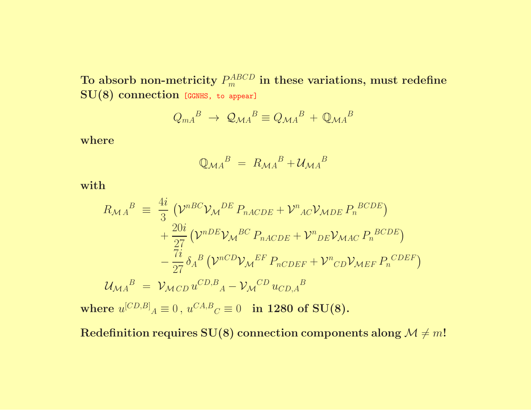To absorb non-metricity  $P_m^{ABCD}$  in these variations, must redefine SU(8) connection [GGNHS, to appear]

$$
Q_{mA}{}^B \rightarrow Q_{M A}{}^B \equiv Q_{M A}{}^B + Q_{M A}{}^B
$$

where

$$
Q_{\mathcal{M}A}{}^B = R_{\mathcal{M}A}{}^B + \mathcal{U}_{\mathcal{M}A}{}^B
$$

with

$$
R_{MA}^B \equiv \frac{4i}{3} \left( \mathcal{V}^{nBC} \mathcal{V}_M^{DE} P_{nACDE} + \mathcal{V}^n{}_{AC} \mathcal{V}_{MDE} P_n^{BCDE} \right)
$$
  
+ 
$$
\frac{20i}{27} \left( \mathcal{V}^{nDE} \mathcal{V}_M^{BC} P_{nACDE} + \mathcal{V}^n{}_{DE} \mathcal{V}_{MAC} P_n^{BCDE} \right)
$$
  
- 
$$
\frac{7i}{27} \delta_A^B \left( \mathcal{V}^{nCD} \mathcal{V}_M^{EF} P_{nCDEF} + \mathcal{V}^n{}_{CD} \mathcal{V}_{MEF} P_n^{CDEF} \right)
$$
  

$$
U_{MA}^B = \mathcal{V}_{MCD} u^{CD,B}{}_A - \mathcal{V}_M^{CD} u_{CD,A}^B
$$

where  $u^{[CD,B]}_A \equiv 0$ ,  $u^{CA,B}_C \equiv 0$  in 1280 of SU(8).

Redefinition requires  $SU(8)$  connection components along  $\mathcal{M} \neq m!$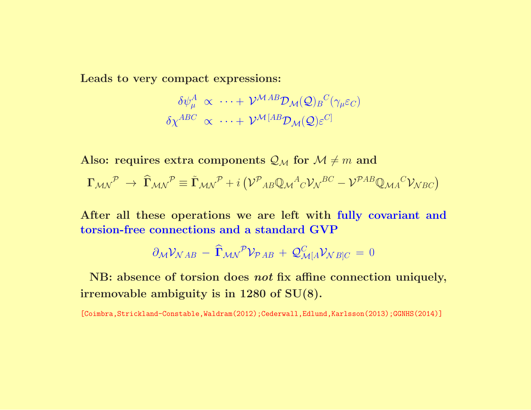Leads to very compact expressions:

$$
\delta \psi_{\mu}^{A} \propto \cdots + \mathcal{V}^{MAB} \mathcal{D}_{\mathcal{M}}(\mathcal{Q})_{B}^{C}(\gamma_{\mu} \varepsilon_{C})
$$

$$
\delta \chi^{ABC} \propto \cdots + \mathcal{V}^{M[AB} \mathcal{D}_{\mathcal{M}}(\mathcal{Q}) \varepsilon^{C]}
$$

Also: requires extra components  $\mathcal{Q}_\mathcal{M}$  for  $\mathcal{M} \neq m$  and

$$
\Gamma_{\mathcal{M}\mathcal{N}}{}^{\mathcal{P}} \rightarrow \widehat{\Gamma}_{\mathcal{M}\mathcal{N}}{}^{\mathcal{P}} \equiv \widetilde{\Gamma}_{\mathcal{M}\mathcal{N}}{}^{\mathcal{P}} + i \left( \mathcal{V}^{\mathcal{P}}{}_{AB} \mathbb{Q}_{\mathcal{M}}{}^A{}_C \mathcal{V}_{\mathcal{N}}{}^{BC} - \mathcal{V}^{\mathcal{P}AB} \mathbb{Q}_{\mathcal{M}A}{}^C \mathcal{V}_{\mathcal{N}BC} \right)
$$

After all these operations we are left with fully covariant and torsion-free connections and <sup>a</sup> standard GVP

$$
\partial_{\mathcal{M}} \mathcal{V}_{\mathcal{N}AB} - \widehat{\mathbf{\Gamma}}_{\mathcal{M}\mathcal{N}}{}^{\mathcal{P}} \mathcal{V}_{\mathcal{P}AB} + \mathcal{Q}_{\mathcal{M}[A}^C \mathcal{V}_{\mathcal{N}B]C} = 0
$$

NB: absence of torsion does not fix affine connection uniquely, irremovable ambiguity is in <sup>1280</sup> of SU(8).

[Coimbra,Strickland-Constable,Waldram(2012);Cederwall,Edlund,Karlsson(2013);GGNHS(2014)]